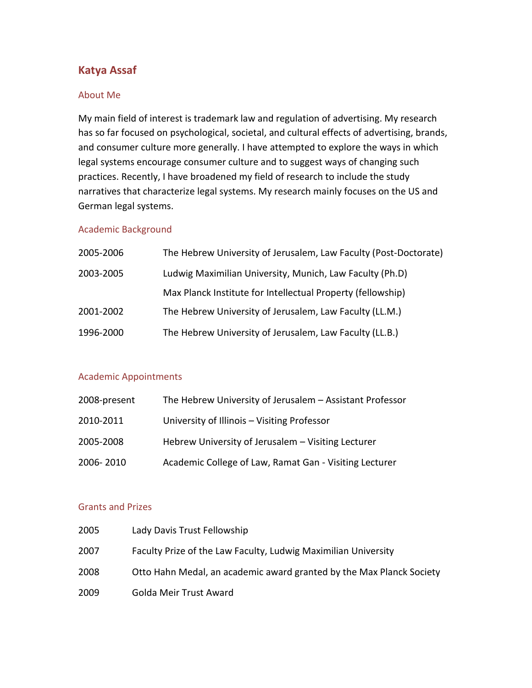# **Katya Assaf**

#### About Me

My main field of interest is trademark law and regulation of advertising. My research has so far focused on psychological, societal, and cultural effects of advertising, brands, and consumer culture more generally. I have attempted to explore the ways in which legal systems encourage consumer culture and to suggest ways of changing such practices. Recently, I have broadened my field of research to include the study narratives that characterize legal systems. My research mainly focuses on the US and German legal systems.

# Academic Background

| 2005-2006 | The Hebrew University of Jerusalem, Law Faculty (Post-Doctorate) |
|-----------|------------------------------------------------------------------|
| 2003-2005 | Ludwig Maximilian University, Munich, Law Faculty (Ph.D)         |
|           | Max Planck Institute for Intellectual Property (fellowship)      |
| 2001-2002 | The Hebrew University of Jerusalem, Law Faculty (LL.M.)          |
| 1996-2000 | The Hebrew University of Jerusalem, Law Faculty (LL.B.)          |
|           |                                                                  |

#### Academic Appointments

| 2008-present | The Hebrew University of Jerusalem - Assistant Professor |
|--------------|----------------------------------------------------------|
| 2010-2011    | University of Illinois - Visiting Professor              |
| 2005-2008    | Hebrew University of Jerusalem - Visiting Lecturer       |
| 2006-2010    | Academic College of Law, Ramat Gan - Visiting Lecturer   |

## Grants and Prizes

| 2005 | Lady Davis Trust Fellowship                                          |
|------|----------------------------------------------------------------------|
| 2007 | Faculty Prize of the Law Faculty, Ludwig Maximilian University       |
| 2008 | Otto Hahn Medal, an academic award granted by the Max Planck Society |
| 2009 | Golda Meir Trust Award                                               |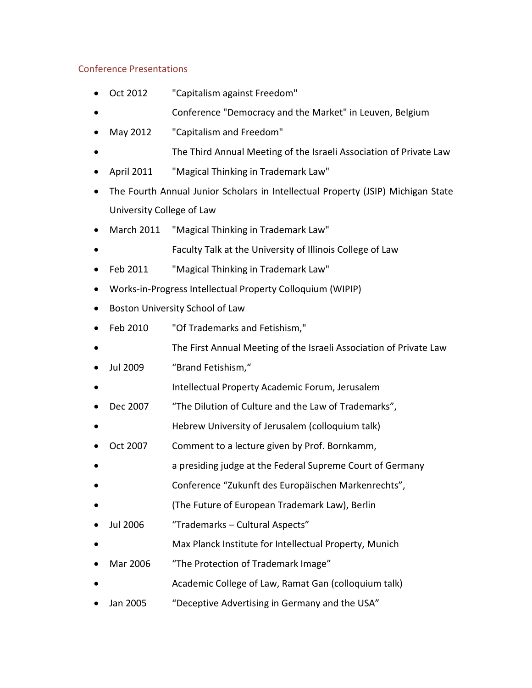# Conference Presentations

- Oct 2012 "Capitalism against Freedom"
- Conference "Democracy and the Market" in Leuven, Belgium
- May 2012 "Capitalism and Freedom"
- The Third Annual Meeting of the Israeli Association of Private Law
- April 2011 "Magical Thinking in Trademark Law"
- The Fourth Annual Junior Scholars in Intellectual Property (JSIP) Michigan State University College of Law
- March 2011 "Magical Thinking in Trademark Law"
- Faculty Talk at the University of Illinois College of Law
- Feb 2011 "Magical Thinking in Trademark Law"
- Works-in-Progress Intellectual Property Colloquium (WIPIP)
- **•** Boston University School of Law
- Feb 2010 "Of Trademarks and Fetishism,"
- The First Annual Meeting of the Israeli Association of Private Law
- Jul 2009 "Brand Fetishism,"
- Intellectual Property Academic Forum, Jerusalem
- Dec 2007 "The Dilution of Culture and the Law of Trademarks",
- Hebrew University of Jerusalem (colloquium talk)
- Oct 2007 Comment to a lecture given by Prof. Bornkamm,
- a presiding judge at the Federal Supreme Court of Germany
- Conference "Zukunft des Europäischen Markenrechts",
- (The Future of European Trademark Law), Berlin
- Jul 2006 "Trademarks Cultural Aspects"
- Max Planck Institute for Intellectual Property, Munich
- Mar 2006 "The Protection of Trademark Image"
- Academic College of Law, Ramat Gan (colloquium talk)
- Jan 2005 "Deceptive Advertising in Germany and the USA"